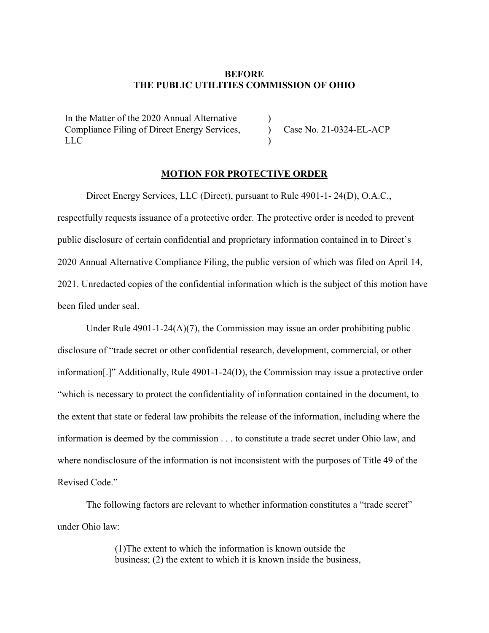## **BEFORE THE PUBLIC UTILITIES COMMISSION OF OHIO**

) ) )

In the Matter of the 2020 Annual Alternative Compliance Filing of Direct Energy Services, LLC

Case No. 21-0324-EL-ACP

## **MOTION FOR PROTECTIVE ORDER**

Direct Energy Services, LLC (Direct), pursuant to Rule 4901-1- 24(D), O.A.C., respectfully requests issuance of a protective order. The protective order is needed to prevent public disclosure of certain confidential and proprietary information contained in to Direct's 2020 Annual Alternative Compliance Filing, the public version of which was filed on April 14, 2021. Unredacted copies of the confidential information which is the subject of this motion have been filed under seal.

Under Rule  $4901-1-24(A)(7)$ , the Commission may issue an order prohibiting public disclosure of "trade secret or other confidential research, development, commercial, or other information[.]" Additionally, Rule 4901-1-24(D), the Commission may issue a protective order "which is necessary to protect the confidentiality of information contained in the document, to the extent that state or federal law prohibits the release of the information, including where the information is deemed by the commission . . . to constitute a trade secret under Ohio law, and where nondisclosure of the information is not inconsistent with the purposes of Title 49 of the Revised Code."

The following factors are relevant to whether information constitutes a "trade secret" under Ohio law:

> (1)The extent to which the information is known outside the business; (2) the extent to which it is known inside the business,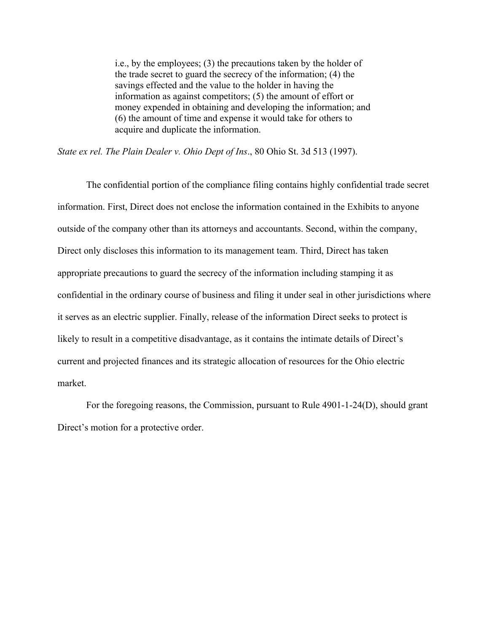i.e., by the employees; (3) the precautions taken by the holder of the trade secret to guard the secrecy of the information; (4) the savings effected and the value to the holder in having the information as against competitors; (5) the amount of effort or money expended in obtaining and developing the information; and (6) the amount of time and expense it would take for others to acquire and duplicate the information.

*State ex rel. The Plain Dealer v. Ohio Dept of Ins*., 80 Ohio St. 3d 513 (1997).

The confidential portion of the compliance filing contains highly confidential trade secret information. First, Direct does not enclose the information contained in the Exhibits to anyone outside of the company other than its attorneys and accountants. Second, within the company, Direct only discloses this information to its management team. Third, Direct has taken appropriate precautions to guard the secrecy of the information including stamping it as confidential in the ordinary course of business and filing it under seal in other jurisdictions where it serves as an electric supplier. Finally, release of the information Direct seeks to protect is likely to result in a competitive disadvantage, as it contains the intimate details of Direct's current and projected finances and its strategic allocation of resources for the Ohio electric market.

For the foregoing reasons, the Commission, pursuant to Rule 4901-1-24(D), should grant Direct's motion for a protective order.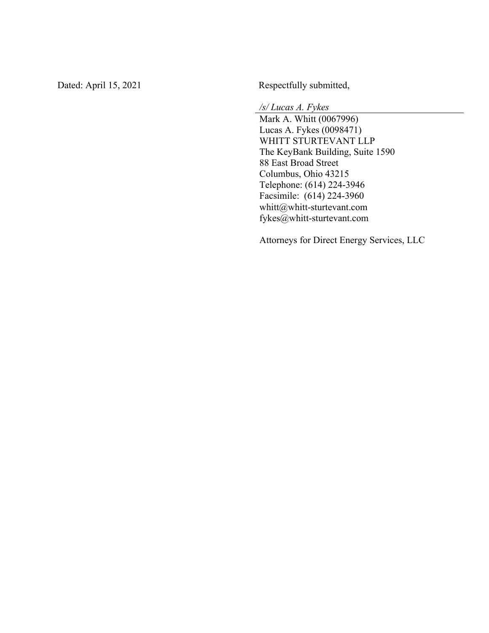Dated: April 15, 202

Respectfully submitted,

*/s/ Lucas A. Fykes*

Mark A. Whitt (0067996) Lucas A. Fykes (0098471 ) WHITT STURTEVANT LLP The KeyBank Building, Suite 1590 88 East Broad Street Columbus, Ohio 43215 Telephone: (614) 224 -3946 Facsimile: (614) 224 -3960 whitt@whitt -sturtevant.com fykes@whitt -sturtevant.com

Attorneys for Direct Energy Services, LLC